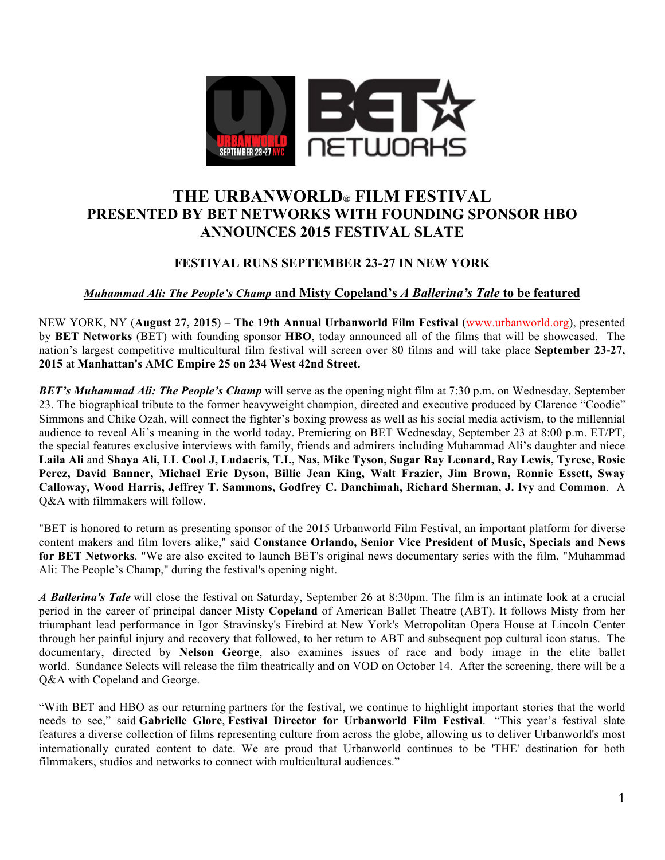

# **THE URBANWORLD® FILM FESTIVAL PRESENTED BY BET NETWORKS WITH FOUNDING SPONSOR HBO ANNOUNCES 2015 FESTIVAL SLATE**

## **FESTIVAL RUNS SEPTEMBER 23-27 IN NEW YORK**

#### *Muhammad Ali: The People's Champ* **and Misty Copeland's** *A Ballerina's Tale* **to be featured**

NEW YORK, NY (**August 27, 2015**) – **The 19th Annual Urbanworld Film Festival** (www.urbanworld.org), presented by **BET Networks** (BET) with founding sponsor **HBO**, today announced all of the films that will be showcased. The nation's largest competitive multicultural film festival will screen over 80 films and will take place **September 23-27, 2015** at **Manhattan's AMC Empire 25 on 234 West 42nd Street.**

*BET's Muhammad Ali: The People's Champ* will serve as the opening night film at 7:30 p.m. on Wednesday, September 23. The biographical tribute to the former heavyweight champion, directed and executive produced by Clarence "Coodie" Simmons and Chike Ozah, will connect the fighter's boxing prowess as well as his social media activism, to the millennial audience to reveal Ali's meaning in the world today. Premiering on BET Wednesday, September 23 at 8:00 p.m. ET/PT, the special features exclusive interviews with family, friends and admirers including Muhammad Ali's daughter and niece **Laila Ali** and **Shaya Ali, LL Cool J, Ludacris, T.I., Nas, Mike Tyson, Sugar Ray Leonard, Ray Lewis, Tyrese, Rosie Perez, David Banner, Michael Eric Dyson, Billie Jean King, Walt Frazier, Jim Brown, Ronnie Essett, Sway Calloway, Wood Harris, Jeffrey T. Sammons, Godfrey C. Danchimah, Richard Sherman, J. Ivy** and **Common**. A Q&A with filmmakers will follow.

"BET is honored to return as presenting sponsor of the 2015 Urbanworld Film Festival, an important platform for diverse content makers and film lovers alike," said **Constance Orlando, Senior Vice President of Music, Specials and News for BET Networks**. "We are also excited to launch BET's original news documentary series with the film, "Muhammad Ali: The People's Champ," during the festival's opening night.

*A Ballerina's Tale* will close the festival on Saturday, September 26 at 8:30pm. The film is an intimate look at a crucial period in the career of principal dancer **Misty Copeland** of American Ballet Theatre (ABT). It follows Misty from her triumphant lead performance in Igor Stravinsky's Firebird at New York's Metropolitan Opera House at Lincoln Center through her painful injury and recovery that followed, to her return to ABT and subsequent pop cultural icon status. The documentary, directed by **Nelson George**, also examines issues of race and body image in the elite ballet world. Sundance Selects will release the film theatrically and on VOD on October 14. After the screening, there will be a Q&A with Copeland and George.

"With BET and HBO as our returning partners for the festival, we continue to highlight important stories that the world needs to see," said **Gabrielle Glore**, **Festival Director for Urbanworld Film Festival**. "This year's festival slate features a diverse collection of films representing culture from across the globe, allowing us to deliver Urbanworld's most internationally curated content to date. We are proud that Urbanworld continues to be 'THE' destination for both filmmakers, studios and networks to connect with multicultural audiences."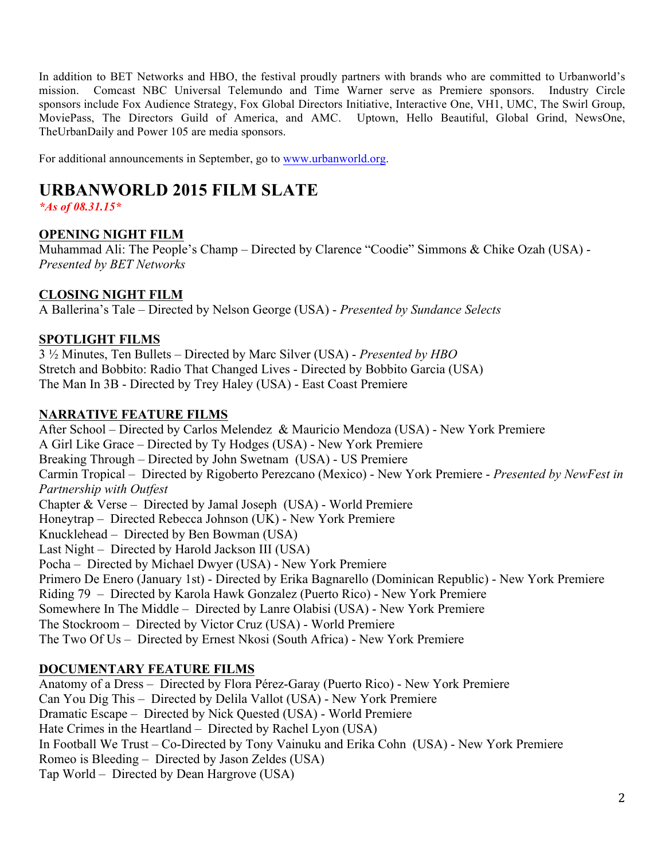In addition to BET Networks and HBO, the festival proudly partners with brands who are committed to Urbanworld's mission. Comcast NBC Universal Telemundo and Time Warner serve as Premiere sponsors. Industry Circle sponsors include Fox Audience Strategy, Fox Global Directors Initiative, Interactive One, VH1, UMC, The Swirl Group, MoviePass, The Directors Guild of America, and AMC. Uptown, Hello Beautiful, Global Grind, NewsOne, TheUrbanDaily and Power 105 are media sponsors.

For additional announcements in September, go to www.urbanworld.org.

# **URBANWORLD 2015 FILM SLATE**

*\*As of 08.31.15\**

## **OPENING NIGHT FILM**

Muhammad Ali: The People's Champ – Directed by Clarence "Coodie" Simmons & Chike Ozah (USA) - *Presented by BET Networks*

## **CLOSING NIGHT FILM**

A Ballerina's Tale – Directed by Nelson George (USA) - *Presented by Sundance Selects*

## **SPOTLIGHT FILMS**

3 ½ Minutes, Ten Bullets – Directed by Marc Silver (USA) - *Presented by HBO* Stretch and Bobbito: Radio That Changed Lives - Directed by Bobbito Garcia (USA) The Man In 3B - Directed by Trey Haley (USA) - East Coast Premiere

## **NARRATIVE FEATURE FILMS**

After School – Directed by Carlos Melendez & Mauricio Mendoza (USA) - New York Premiere A Girl Like Grace – Directed by Ty Hodges (USA) - New York Premiere Breaking Through – Directed by John Swetnam (USA) - US Premiere Carmin Tropical – Directed by Rigoberto Perezcano (Mexico) - New York Premiere - *Presented by NewFest in Partnership with Outfest* Chapter & Verse – Directed by Jamal Joseph (USA) - World Premiere Honeytrap – Directed Rebecca Johnson (UK) - New York Premiere Knucklehead – Directed by Ben Bowman (USA) Last Night – Directed by Harold Jackson III (USA) Pocha – Directed by Michael Dwyer (USA) - New York Premiere Primero De Enero (January 1st) - Directed by Erika Bagnarello (Dominican Republic) - New York Premiere Riding 79 – Directed by Karola Hawk Gonzalez (Puerto Rico) - New York Premiere Somewhere In The Middle – Directed by Lanre Olabisi (USA) - New York Premiere The Stockroom – Directed by Victor Cruz (USA) - World Premiere The Two Of Us – Directed by Ernest Nkosi (South Africa) - New York Premiere

# **DOCUMENTARY FEATURE FILMS**

Anatomy of a Dress – Directed by Flora Pérez-Garay (Puerto Rico) - New York Premiere Can You Dig This – Directed by Delila Vallot (USA) - New York Premiere Dramatic Escape – Directed by Nick Quested (USA) - World Premiere Hate Crimes in the Heartland – Directed by Rachel Lyon (USA) In Football We Trust – Co-Directed by Tony Vainuku and Erika Cohn (USA) - New York Premiere Romeo is Bleeding – Directed by Jason Zeldes (USA) Tap World – Directed by Dean Hargrove (USA)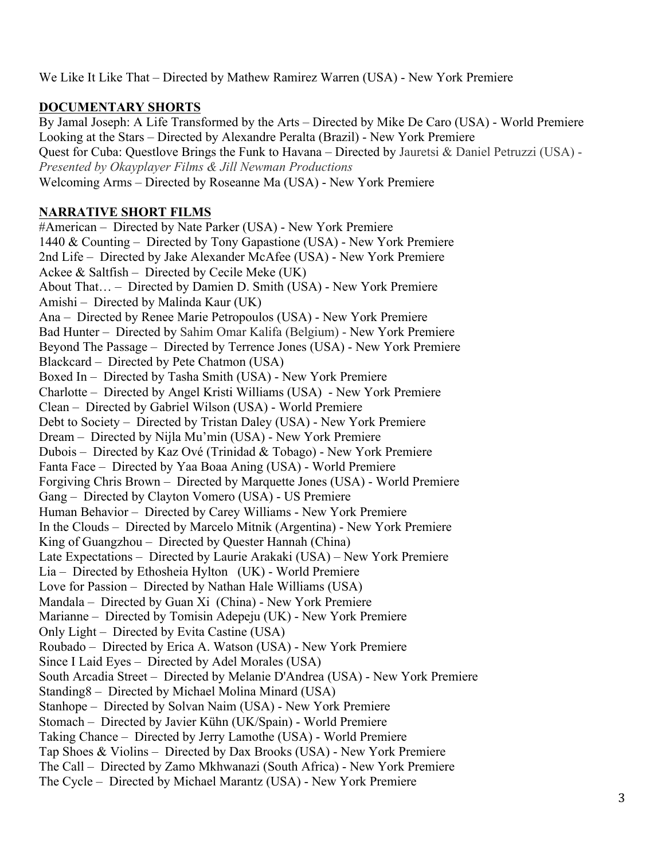We Like It Like That – Directed by Mathew Ramirez Warren (USA) - New York Premiere

# **DOCUMENTARY SHORTS**

By Jamal Joseph: A Life Transformed by the Arts – Directed by Mike De Caro (USA) - World Premiere Looking at the Stars – Directed by Alexandre Peralta (Brazil) - New York Premiere Quest for Cuba: Questlove Brings the Funk to Havana – Directed by Jauretsi & Daniel Petruzzi (USA) - *Presented by Okayplayer Films & Jill Newman Productions* Welcoming Arms – Directed by Roseanne Ma (USA) - New York Premiere

# **NARRATIVE SHORT FILMS**

#American – Directed by Nate Parker (USA) - New York Premiere 1440 & Counting – Directed by Tony Gapastione (USA) - New York Premiere 2nd Life – Directed by Jake Alexander McAfee (USA) - New York Premiere Ackee & Saltfish – Directed by Cecile Meke (UK) About That… – Directed by Damien D. Smith (USA) - New York Premiere Amishi – Directed by Malinda Kaur (UK) Ana – Directed by Renee Marie Petropoulos (USA) - New York Premiere Bad Hunter – Directed by Sahim Omar Kalifa (Belgium) - New York Premiere Beyond The Passage – Directed by Terrence Jones (USA) - New York Premiere Blackcard – Directed by Pete Chatmon (USA) Boxed In – Directed by Tasha Smith (USA) - New York Premiere Charlotte – Directed by Angel Kristi Williams (USA) - New York Premiere Clean – Directed by Gabriel Wilson (USA) - World Premiere Debt to Society – Directed by Tristan Daley (USA) - New York Premiere Dream – Directed by Nijla Mu'min (USA) - New York Premiere Dubois – Directed by Kaz Ové (Trinidad & Tobago) - New York Premiere Fanta Face – Directed by Yaa Boaa Aning (USA) - World Premiere Forgiving Chris Brown – Directed by Marquette Jones (USA) - World Premiere Gang – Directed by Clayton Vomero (USA) - US Premiere Human Behavior – Directed by Carey Williams - New York Premiere In the Clouds – Directed by Marcelo Mitnik (Argentina) - New York Premiere King of Guangzhou – Directed by Quester Hannah (China) Late Expectations – Directed by Laurie Arakaki (USA) – New York Premiere Lia – Directed by Ethosheia Hylton (UK) - World Premiere Love for Passion – Directed by Nathan Hale Williams (USA) Mandala – Directed by Guan Xi (China) - New York Premiere Marianne – Directed by Tomisin Adepeju (UK) - New York Premiere Only Light – Directed by Evita Castine (USA) Roubado – Directed by Erica A. Watson (USA) - New York Premiere Since I Laid Eyes – Directed by Adel Morales (USA) South Arcadia Street – Directed by Melanie D'Andrea (USA) - New York Premiere Standing8 – Directed by Michael Molina Minard (USA) Stanhope – Directed by Solvan Naim (USA) - New York Premiere Stomach – Directed by Javier Kühn (UK/Spain) - World Premiere Taking Chance – Directed by Jerry Lamothe (USA) - World Premiere Tap Shoes & Violins – Directed by Dax Brooks (USA) - New York Premiere The Call – Directed by Zamo Mkhwanazi (South Africa) - New York Premiere The Cycle – Directed by Michael Marantz (USA) - New York Premiere